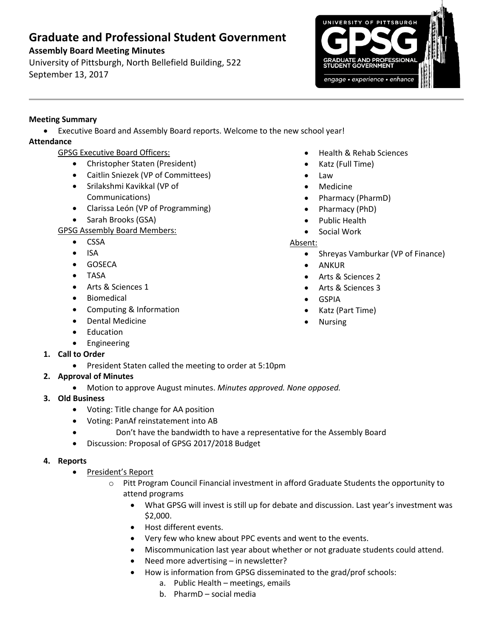# **Graduate and Professional Student Government**

# **Assembly Board Meeting Minutes**

University of Pittsburgh, North Bellefield Building, 522 September 13, 2017



## **Meeting Summary**

Executive Board and Assembly Board reports. Welcome to the new school year!

# **Attendance**

- GPSG Executive Board Officers:
	- Christopher Staten (President)
	- Caitlin Sniezek (VP of Committees)
	- Srilakshmi Kavikkal (VP of Communications)
	- Clarissa León (VP of Programming)
	- Sarah Brooks (GSA)

# GPSG Assembly Board Members:

- CSSA
- $\bullet$  ISA
- **•** GOSECA
- TASA
- Arts & Sciences 1
- **•** Biomedical
- Computing & Information
- Dental Medicine
- Education
- **•** Engineering
- **1. Call to Order**
	- President Staten called the meeting to order at 5:10pm
- **2. Approval of Minutes** 
	- Motion to approve August minutes. *Minutes approved. None opposed.*
- **3. Old Business**
	- Voting: Title change for AA position
	- Voting: PanAf reinstatement into AB
		- Don't have the bandwidth to have a representative for the Assembly Board
	- Discussion: Proposal of GPSG 2017/2018 Budget

### **4. Reports**

- President's Report
	- o Pitt Program Council Financial investment in afford Graduate Students the opportunity to attend programs
		- What GPSG will invest is still up for debate and discussion. Last year's investment was \$2,000.
		- Host different events.
		- Very few who knew about PPC events and went to the events.
		- Miscommunication last year about whether or not graduate students could attend.
		- Need more advertising in newsletter?
		- How is information from GPSG disseminated to the grad/prof schools:
			- a. Public Health meetings, emails
			- b. PharmD social media
- Health & Rehab Sciences
- Katz (Full Time)
	- Law
- Medicine
- Pharmacy (PharmD)
- Pharmacy (PhD)
- Public Health
- Social Work

### Absent:

- Shreyas Vamburkar (VP of Finance)
- ANKUR
- Arts & Sciences 2
- Arts & Sciences 3
- GSPIA
- Katz (Part Time)
- Nursing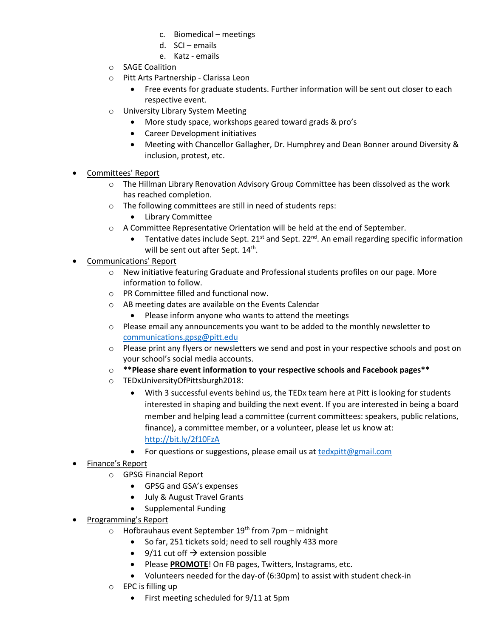- c. Biomedical meetings
- d. SCI emails
- e. Katz emails
- o SAGE Coalition
- o Pitt Arts Partnership Clarissa Leon
	- Free events for graduate students. Further information will be sent out closer to each respective event.
- o University Library System Meeting
	- More study space, workshops geared toward grads & pro's
	- Career Development initiatives
	- Meeting with Chancellor Gallagher, Dr. Humphrey and Dean Bonner around Diversity & inclusion, protest, etc.
- Committees' Report
	- o The Hillman Library Renovation Advisory Group Committee has been dissolved as the work has reached completion.
	- o The following committees are still in need of students reps:
		- Library Committee
	- o A Committee Representative Orientation will be held at the end of September.
		- Tentative dates include Sept. 21<sup>st</sup> and Sept. 22<sup>nd</sup>. An email regarding specific information will be sent out after Sept. 14<sup>th</sup>.
- Communications' Report
	- o New initiative featuring Graduate and Professional students profiles on our page. More information to follow.
	- o PR Committee filled and functional now.
	- o AB meeting dates are available on the Events Calendar
		- Please inform anyone who wants to attend the meetings
	- $\circ$  Please email any announcements you want to be added to the monthly newsletter to [communications.gpsg@pitt.edu](mailto:communications.gpsg@pitt.edu)
	- $\circ$  Please print any flyers or newsletters we send and post in your respective schools and post on your school's social media accounts.
	- o **\*\*Please share event information to your respective schools and Facebook pages\*\***
	- o TEDxUniversityOfPittsburgh2018:
		- With 3 successful events behind us, the TEDx team here at Pitt is looking for students interested in shaping and building the next event. If you are interested in being a board member and helping lead a committee (current committees: speakers, public relations, finance), a committee member, or a volunteer, please let us know at: <http://bit.ly/2f10FzA>
		- For questions or suggestions, please email us at [tedxpitt@gmail.com](mailto:tedxpitt@gmail.com)
- Finance's Report
	- o GPSG Financial Report
		- GPSG and GSA's expenses
		- July & August Travel Grants
		- Supplemental Funding
- Programming's Report
	- $\circ$  Hofbrauhaus event September 19<sup>th</sup> from 7pm midnight
		- So far, 251 tickets sold; need to sell roughly 433 more
		- $\bullet$  9/11 cut off  $\rightarrow$  extension possible
		- Please **PROMOTE**! On FB pages, Twitters, Instagrams, etc.
		- Volunteers needed for the day-of (6:30pm) to assist with student check-in
	- $\circ$  EPC is filling up
		- First meeting scheduled for 9/11 at 5pm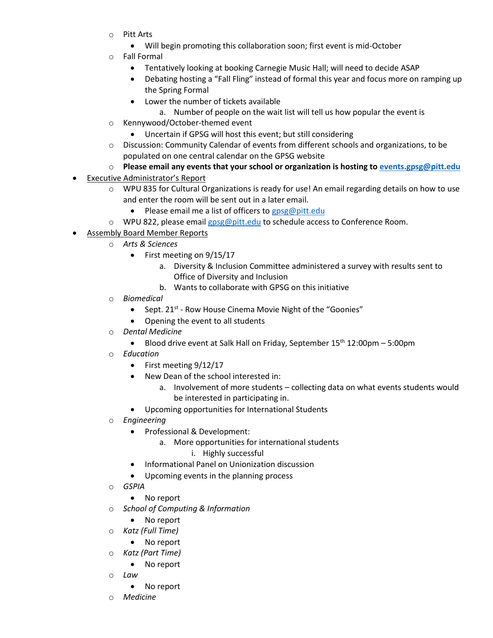- o Pitt Arts
	- Will begin promoting this collaboration soon; first event is mid-October
- **Fall Formal** 
	- Tentatively looking at booking Carnegie Music Hall; will need to decide ASAP
	- Debating hosting a "Fall Fling" instead of formal this year and focus more on ramping up the Spring Formal
	- Lower the number of tickets available
		- a. Number of people on the wait list will tell us how popular the event is
- o Kennywood/October-themed event
	- Uncertain if GPSG will host this event; but still considering
- o Discussion: Community Calendar of events from different schools and organizations, to be populated on one central calendar on the GPSG website
- o **Please email any events that your school or organization is hosting t[o events.gpsg@pitt.edu](mailto:events.gpsg@pitt.edu)**
- Executive Administrator's Report
	- $\circ$  WPU 835 for Cultural Organizations is ready for use! An email regarding details on how to use and enter the room will be sent out in a later email.
		- Please email me a list of officers to  $\cos \omega$  pitt.edu
	- o WPU 822, please emai[l gpsg@pitt.edu](mailto:gpsg@pitt.edu) to schedule access to Conference Room.
- Assembly Board Member Reports
	- o *Arts & Sciences*
		- $\bullet$  First meeting on 9/15/17
			- a. Diversity & Inclusion Committee administered a survey with results sent to Office of Diversity and Inclusion
			- b. Wants to collaborate with GPSG on this initiative
	- o *Biomedical*
		- Sept. 21<sup>st</sup> Row House Cinema Movie Night of the "Goonies"
		- Opening the event to all students
	- o *Dental Medicine*
		- Blood drive event at Salk Hall on Friday, September  $15<sup>th</sup> 12:00pm 5:00pm$
	- o *Education*
		- $\bullet$  First meeting  $9/12/17$
		- New Dean of the school interested in:
			- a. Involvement of more students collecting data on what events students would be interested in participating in.
		- Upcoming opportunities for International Students
	- o *Engineering*
		- Professional & Development:
			- a. More opportunities for international students
				- i. Highly successful
		- Informational Panel on Unionization discussion
		- Upcoming events in the planning process
	- o *GSPIA*
		- No report
	- o *School of Computing & Information*
		- No report
	- o *Katz (Full Time)*
		- No report
	- o *Katz (Part Time)*
		- No report
	- o *Law*
		- No report
	- o *Medicine*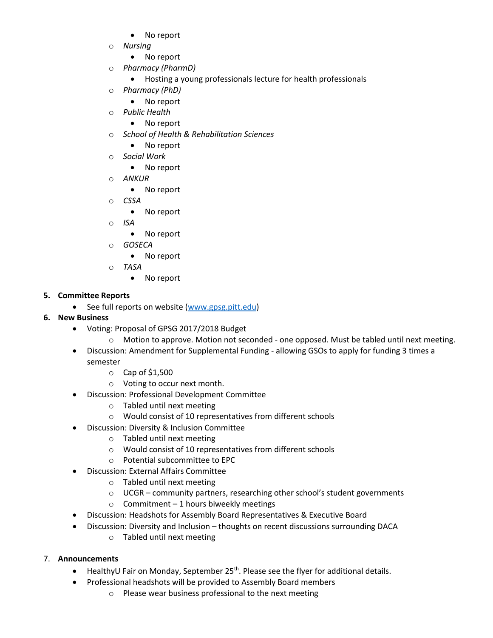- No report
- o *Nursing* 
	- No report
- o *Pharmacy (PharmD)*
	- Hosting a young professionals lecture for health professionals
- o *Pharmacy (PhD)*
	- No report
- o *Public Health*
	- No report
- o *School of Health & Rehabilitation Sciences*
	- No report
- o *Social Work*
	- No report
- o *ANKUR* 
	- No report
- o *CSSA* 
	- No report
- o *ISA* 
	- No report
- o *GOSECA*
	- No report
- o *TASA*
	- No report

#### **5. Committee Reports**

- See full reports on website [\(www.gpsg.pitt.edu\)](http://www.gpsg.pitt.edu/)
- **6. New Business**
	- Voting: Proposal of GPSG 2017/2018 Budget
		- o Motion to approve. Motion not seconded one opposed. Must be tabled until next meeting.
	- Discussion: Amendment for Supplemental Funding allowing GSOs to apply for funding 3 times a semester
		- o Cap of \$1,500
		- o Voting to occur next month.
	- Discussion: Professional Development Committee
		- o Tabled until next meeting
		- o Would consist of 10 representatives from different schools
	- Discussion: Diversity & Inclusion Committee
		- o Tabled until next meeting
		- o Would consist of 10 representatives from different schools
		- $\circ$  Potential subcommittee to FPC
	- Discussion: External Affairs Committee
		- o Tabled until next meeting
		- o UCGR community partners, researching other school's student governments
		- $\circ$  Commitment 1 hours biweekly meetings
	- Discussion: Headshots for Assembly Board Representatives & Executive Board
	- Discussion: Diversity and Inclusion thoughts on recent discussions surrounding DACA
		- o Tabled until next meeting

#### 7. **Announcements**

- $\bullet$  HealthyU Fair on Monday, September 25<sup>th</sup>. Please see the flyer for additional details.
- Professional headshots will be provided to Assembly Board members
	- o Please wear business professional to the next meeting